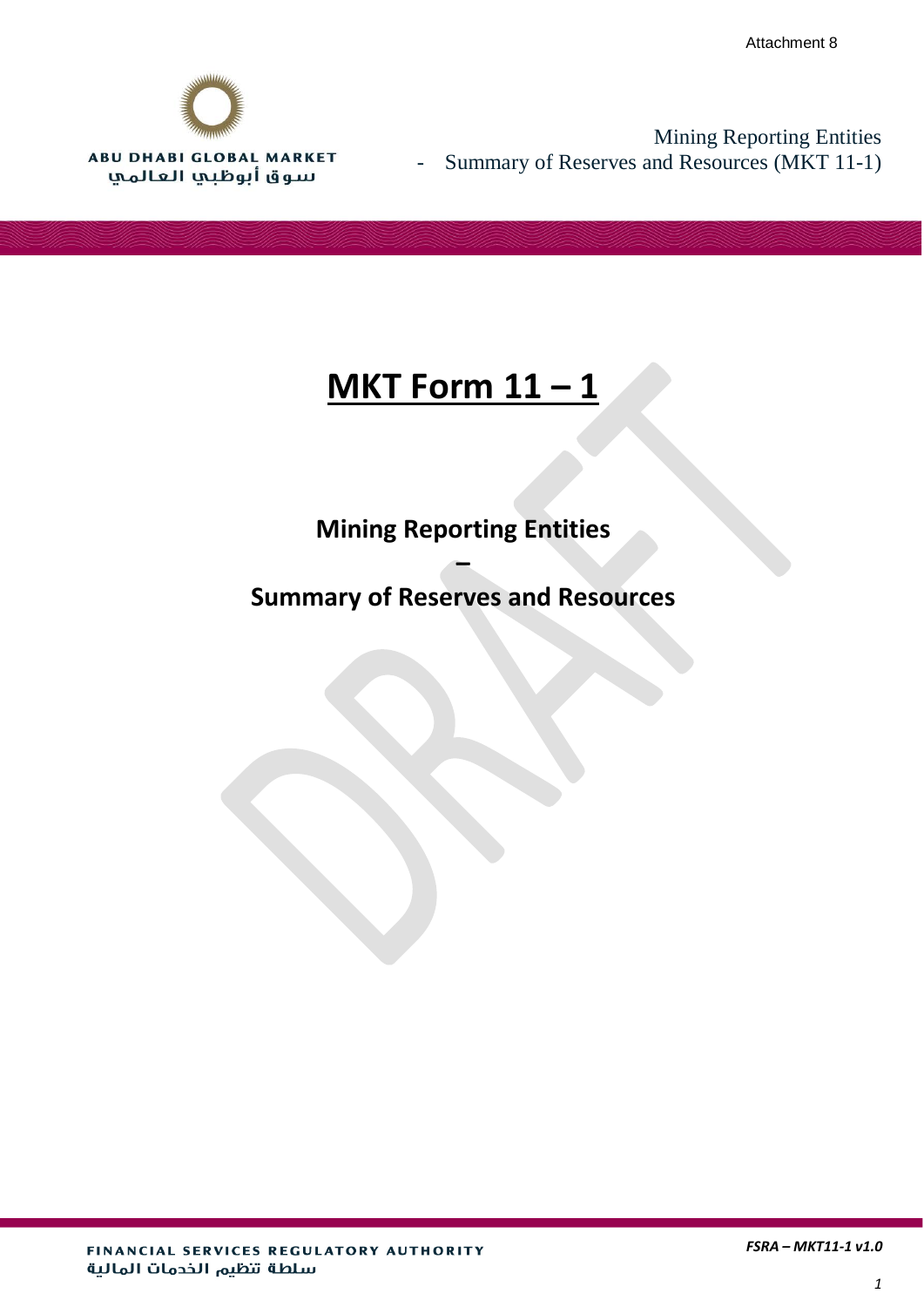

Mining Reporting Entities - Summary of Reserves and Resources (MKT 11-1)

# **MKT Form 11 – 1**

# **Mining Reporting Entities**

## **Summary of Reserves and Resources**

**–**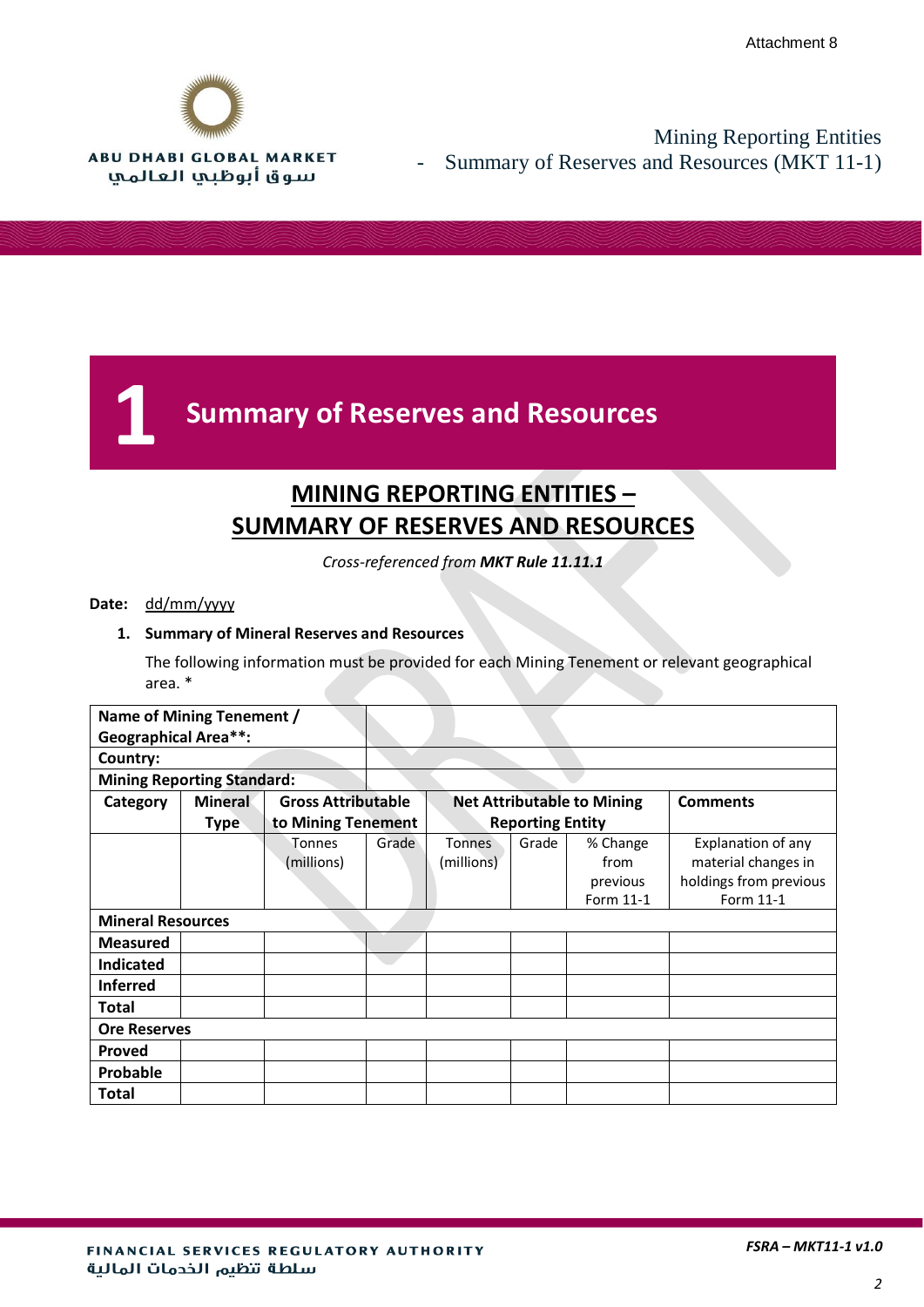

## Mining Reporting Entities Summary of Reserves and Resources (MKT 11-1)

# **1 Summary of Reserves and Resources**

## **MINING REPORTING ENTITIES – SUMMARY OF RESERVES AND RESOURCES**

*Cross-referenced from MKT Rule 11.11.1*

#### **Date:** dd/mm/yyyy

#### **1. Summary of Mineral Reserves and Resources**

The following information must be provided for each Mining Tenement or relevant geographical area. \*

| Name of Mining Tenement /         |                |                           |       |                             |       |                                           |                                                                                  |
|-----------------------------------|----------------|---------------------------|-------|-----------------------------|-------|-------------------------------------------|----------------------------------------------------------------------------------|
| <b>Geographical Area**:</b>       |                |                           |       |                             |       |                                           |                                                                                  |
| Country:                          |                |                           |       |                             |       |                                           |                                                                                  |
| <b>Mining Reporting Standard:</b> |                |                           |       |                             |       |                                           |                                                                                  |
| Category                          | <b>Mineral</b> | <b>Gross Attributable</b> |       |                             |       | <b>Net Attributable to Mining</b>         | <b>Comments</b>                                                                  |
|                                   | <b>Type</b>    | to Mining Tenement        |       | <b>Reporting Entity</b>     |       |                                           |                                                                                  |
|                                   |                | Tonnes<br>(millions)      | Grade | <b>Tonnes</b><br>(millions) | Grade | % Change<br>from<br>previous<br>Form 11-1 | Explanation of any<br>material changes in<br>holdings from previous<br>Form 11-1 |
| <b>Mineral Resources</b>          |                |                           |       |                             |       |                                           |                                                                                  |
| <b>Measured</b>                   |                |                           |       |                             |       |                                           |                                                                                  |
| <b>Indicated</b>                  |                |                           |       |                             |       |                                           |                                                                                  |
| <b>Inferred</b>                   |                |                           |       |                             |       |                                           |                                                                                  |
| Total                             |                |                           |       |                             |       |                                           |                                                                                  |
| <b>Ore Reserves</b>               |                |                           |       |                             |       |                                           |                                                                                  |
| <b>Proved</b>                     |                |                           |       |                             |       |                                           |                                                                                  |
| Probable                          |                |                           |       |                             |       |                                           |                                                                                  |
| Total                             |                |                           |       |                             |       |                                           |                                                                                  |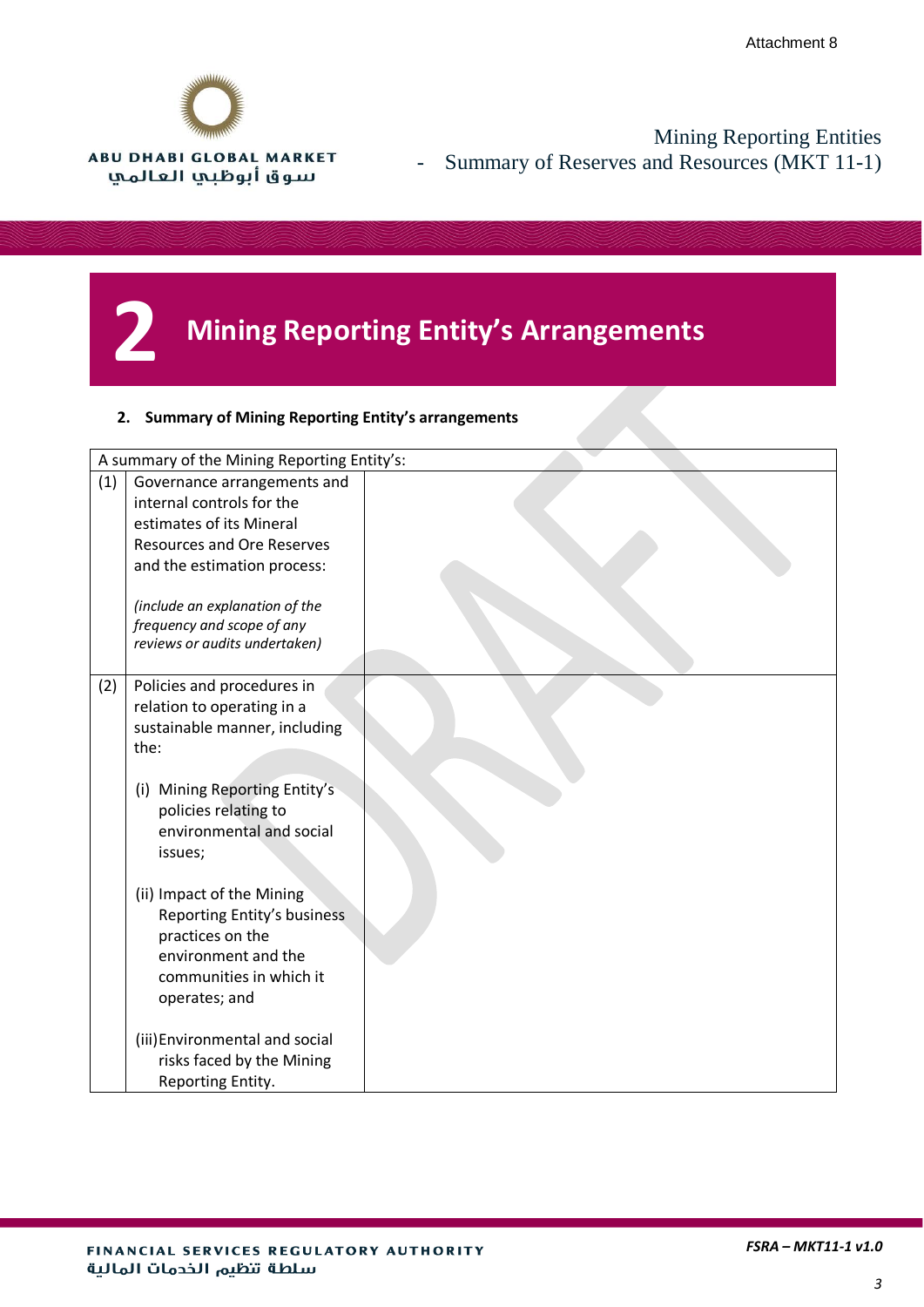

Mining Reporting Entities - Summary of Reserves and Resources (MKT 11-1)

# **2 Mining Reporting Entity's Arrangements**

#### **2. Summary of Mining Reporting Entity's arrangements**

|     | A summary of the Mining Reporting Entity's:                                                  |  |
|-----|----------------------------------------------------------------------------------------------|--|
| (1) | Governance arrangements and<br>internal controls for the                                     |  |
|     | estimates of its Mineral                                                                     |  |
|     | <b>Resources and Ore Reserves</b>                                                            |  |
|     | and the estimation process:                                                                  |  |
|     | (include an explanation of the                                                               |  |
|     | frequency and scope of any                                                                   |  |
|     | reviews or audits undertaken)                                                                |  |
| (2) | Policies and procedures in                                                                   |  |
|     | relation to operating in a                                                                   |  |
|     | sustainable manner, including                                                                |  |
|     | the:                                                                                         |  |
|     | (i) Mining Reporting Entity's<br>policies relating to<br>environmental and social<br>issues; |  |
|     | (ii) Impact of the Mining<br>Reporting Entity's business<br>practices on the                 |  |
|     | environment and the                                                                          |  |
|     | communities in which it                                                                      |  |
|     | operates; and                                                                                |  |
|     | (iii) Environmental and social<br>risks faced by the Mining<br>Reporting Entity.             |  |